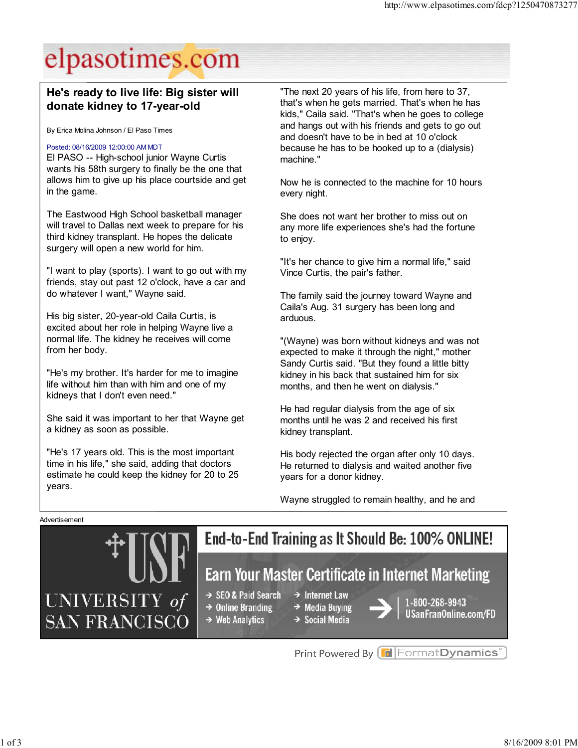## elpasotimes.com

### He's ready to live life: Big sister will donate kidney to 17-year-old

By Erica Molina Johnson / El Paso Times

#### Posted: 08/16/2009 12:00:00 AM MDT

El PASO -- High-school junior Wayne Curtis wants his 58th surgery to finally be the one that allows him to give up his place courtside and get in the game.

The Eastwood High School basketball manager will travel to Dallas next week to prepare for his third kidney transplant. He hopes the delicate surgery will open a new world for him.

"I want to play (sports). I want to go out with my friends, stay out past 12 o'clock, have a car and do whatever I want," Wayne said.

His big sister, 20-year-old Caila Curtis, is excited about her role in helping Wayne live a normal life. The kidney he receives will come from her body.

"He's my brother. It's harder for me to imagine life without him than with him and one of my kidneys that I don't even need."

She said it was important to her that Wayne get a kidney as soon as possible.

"He's 17 years old. This is the most important time in his life," she said, adding that doctors estimate he could keep the kidney for 20 to 25 years.

"The next 20 years of his life, from here to 37, that's when he gets married. That's when he has kids," Caila said. "That's when he goes to college and hangs out with his friends and gets to go out and doesn't have to be in bed at 10 o'clock because he has to be hooked up to a (dialysis) machine."

Now he is connected to the machine for 10 hours every night.

She does not want her brother to miss out on any more life experiences she's had the fortune to enjoy.

"It's her chance to give him a normal life," said Vince Curtis, the pair's father.

The family said the journey toward Wayne and Caila's Aug. 31 surgery has been long and arduous.

"(Wayne) was born without kidneys and was not expected to make it through the night," mother Sandy Curtis said. "But they found a little bitty kidney in his back that sustained him for six months, and then he went on dialysis."

He had regular dialysis from the age of six months until he was 2 and received his first kidney transplant.

His body rejected the organ after only 10 days. He returned to dialysis and waited another five years for a donor kidney.

Wayne struggled to remain healthy, and he and

Advertisement



Print Powered By FormatDynamics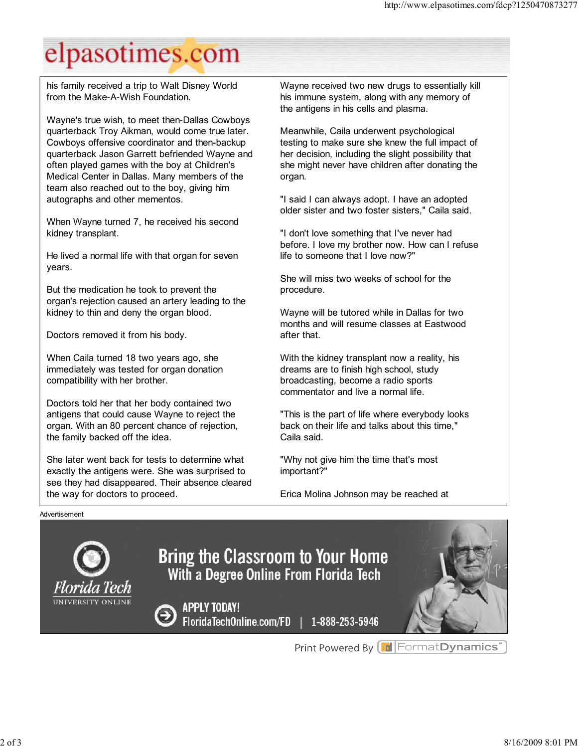# elpasotimes.com

his family received a trip to Walt Disney World from the Make-A-Wish Foundation.

Wayne's true wish, to meet then-Dallas Cowboys quarterback Troy Aikman, would come true later. Cowboys offensive coordinator and then-backup quarterback Jason Garrett befriended Wayne and often played games with the boy at Children's Medical Center in Dallas. Many members of the team also reached out to the boy, giving him autographs and other mementos.

When Wayne turned 7, he received his second kidney transplant.

He lived a normal life with that organ for seven years.

But the medication he took to prevent the organ's rejection caused an artery leading to the kidney to thin and deny the organ blood.

Doctors removed it from his body.

When Caila turned 18 two years ago, she immediately was tested for organ donation compatibility with her brother.

Doctors told her that her body contained two antigens that could cause Wayne to reject the organ. With an 80 percent chance of rejection, the family backed off the idea.

She later went back for tests to determine what exactly the antigens were. She was surprised to see they had disappeared. Their absence cleared the way for doctors to proceed.

Wayne received two new drugs to essentially kill his immune system, along with any memory of the antigens in his cells and plasma.

Meanwhile, Caila underwent psychological testing to make sure she knew the full impact of her decision, including the slight possibility that she might never have children after donating the organ.

"I said I can always adopt. I have an adopted older sister and two foster sisters," Caila said.

"I don't love something that I've never had before. I love my brother now. How can I refuse life to someone that I love now?"

She will miss two weeks of school for the procedure.

Wayne will be tutored while in Dallas for two months and will resume classes at Eastwood after that.

With the kidney transplant now a reality, his dreams are to finish high school, study broadcasting, become a radio sports commentator and live a normal life.

"This is the part of life where everybody looks back on their life and talks about this time," Caila said.

"Why not give him the time that's most important?"

Erica Molina Johnson may be reached at

#### Advertisement